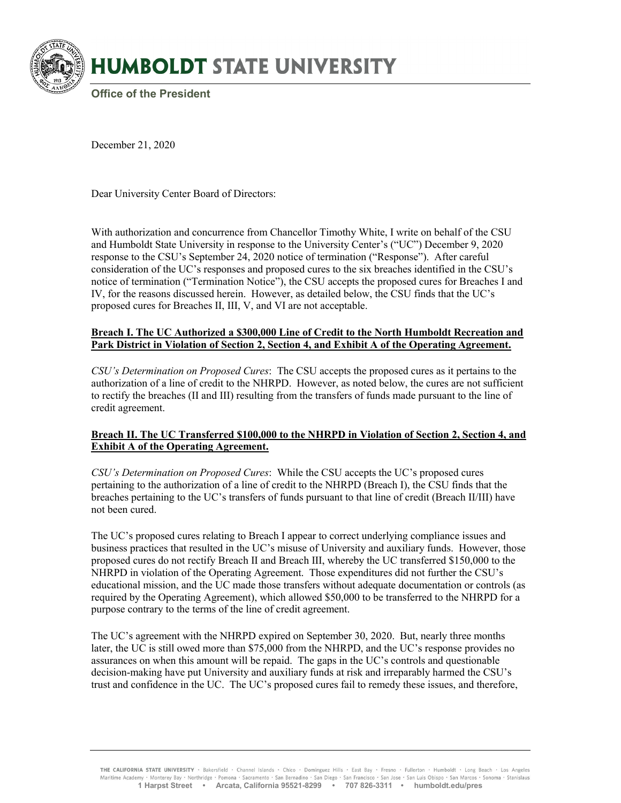

December 21, 2020

Dear University Center Board of Directors:

With authorization and concurrence from Chancellor Timothy White, I write on behalf of the CSU and Humboldt State University in response to the University Center's ("UC") December 9, 2020 response to the CSU's September 24, 2020 notice of termination ("Response"). After careful consideration of the UC's responses and proposed cures to the six breaches identified in the CSU's notice of termination ("Termination Notice"), the CSU accepts the proposed cures for Breaches I and IV, for the reasons discussed herein. However, as detailed below, the CSU finds that the UC's proposed cures for Breaches II, III, V, and VI are not acceptable.

### **Breach I. The UC Authorized a \$300,000 Line of Credit to the North Humboldt Recreation and Park District in Violation of Section 2, Section 4, and Exhibit A of the Operating Agreement.**

*CSU's Determination on Proposed Cures*:The CSU accepts the proposed cures as it pertains to the authorization of a line of credit to the NHRPD. However, as noted below, the cures are not sufficient to rectify the breaches (II and III) resulting from the transfers of funds made pursuant to the line of credit agreement.

# **Breach II. The UC Transferred \$100,000 to the NHRPD in Violation of Section 2, Section 4, and Exhibit A of the Operating Agreement.**

*CSU's Determination on Proposed Cures*:While the CSU accepts the UC's proposed cures pertaining to the authorization of a line of credit to the NHRPD (Breach I), the CSU finds that the breaches pertaining to the UC's transfers of funds pursuant to that line of credit (Breach II/III) have not been cured.

The UC's proposed cures relating to Breach I appear to correct underlying compliance issues and business practices that resulted in the UC's misuse of University and auxiliary funds. However, those proposed cures do not rectify Breach II and Breach III, whereby the UC transferred \$150,000 to the NHRPD in violation of the Operating Agreement. Those expenditures did not further the CSU's educational mission, and the UC made those transfers without adequate documentation or controls (as required by the Operating Agreement), which allowed \$50,000 to be transferred to the NHRPD for a purpose contrary to the terms of the line of credit agreement.

The UC's agreement with the NHRPD expired on September 30, 2020. But, nearly three months later, the UC is still owed more than \$75,000 from the NHRPD, and the UC's response provides no assurances on when this amount will be repaid. The gaps in the UC's controls and questionable decision-making have put University and auxiliary funds at risk and irreparably harmed the CSU's trust and confidence in the UC. The UC's proposed cures fail to remedy these issues, and therefore,

THE CALIFORNIA STATE UNIVERSITY · Bakersfield · Channel Islands · Chico · Dominguez Hills · East Bay · Fresno · Fullerton · Humboldt · Long Beach · Los Angeles Maritime Academy · Monterey Bay · Northridge · Pomona · Sacramento · San Bernadino · San Diego · San Francisco · San Jose · San Luis Obispo · San Marcos · Sonoma · Stanislaus **1 Harpst Street • Arcata, California 95521-8299 • 707 826-3311 • humboldt.edu/pres**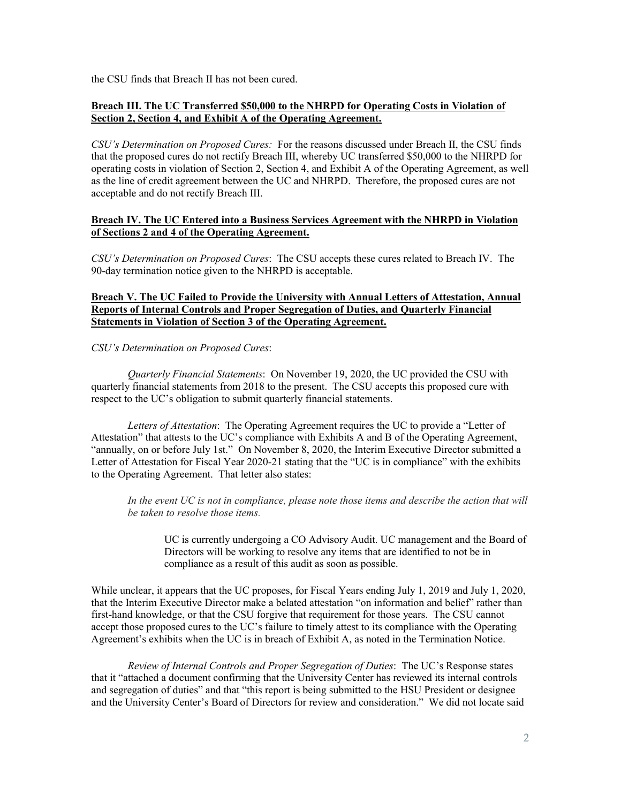the CSU finds that Breach II has not been cured.

# **Breach III. The UC Transferred \$50,000 to the NHRPD for Operating Costs in Violation of Section 2, Section 4, and Exhibit A of the Operating Agreement.**

*CSU's Determination on Proposed Cures:* For the reasons discussed under Breach II, the CSU finds that the proposed cures do not rectify Breach III, whereby UC transferred \$50,000 to the NHRPD for operating costs in violation of Section 2, Section 4, and Exhibit A of the Operating Agreement, as well as the line of credit agreement between the UC and NHRPD. Therefore, the proposed cures are not acceptable and do not rectify Breach III.

### **Breach IV. The UC Entered into a Business Services Agreement with the NHRPD in Violation of Sections 2 and 4 of the Operating Agreement.**

*CSU's Determination on Proposed Cures*:The CSU accepts these cures related to Breach IV. The 90-day termination notice given to the NHRPD is acceptable.

#### **Breach V. The UC Failed to Provide the University with Annual Letters of Attestation, Annual Reports of Internal Controls and Proper Segregation of Duties, and Quarterly Financial Statements in Violation of Section 3 of the Operating Agreement.**

### *CSU's Determination on Proposed Cures*:

*Quarterly Financial Statements*: On November 19, 2020, the UC provided the CSU with quarterly financial statements from 2018 to the present. The CSU accepts this proposed cure with respect to the UC's obligation to submit quarterly financial statements.

*Letters of Attestation*: The Operating Agreement requires the UC to provide a "Letter of Attestation" that attests to the UC's compliance with Exhibits A and B of the Operating Agreement, "annually, on or before July 1st." On November 8, 2020, the Interim Executive Director submitted a Letter of Attestation for Fiscal Year 2020-21 stating that the "UC is in compliance" with the exhibits to the Operating Agreement. That letter also states:

*In the event UC is not in compliance, please note those items and describe the action that will be taken to resolve those items.* 

UC is currently undergoing a CO Advisory Audit. UC management and the Board of Directors will be working to resolve any items that are identified to not be in compliance as a result of this audit as soon as possible.

While unclear, it appears that the UC proposes, for Fiscal Years ending July 1, 2019 and July 1, 2020, that the Interim Executive Director make a belated attestation "on information and belief" rather than first-hand knowledge, or that the CSU forgive that requirement for those years. The CSU cannot accept those proposed cures to the UC's failure to timely attest to its compliance with the Operating Agreement's exhibits when the UC is in breach of Exhibit A, as noted in the Termination Notice.

*Review of Internal Controls and Proper Segregation of Duties*: The UC's Response states that it "attached a document confirming that the University Center has reviewed its internal controls and segregation of duties" and that "this report is being submitted to the HSU President or designee and the University Center's Board of Directors for review and consideration." We did not locate said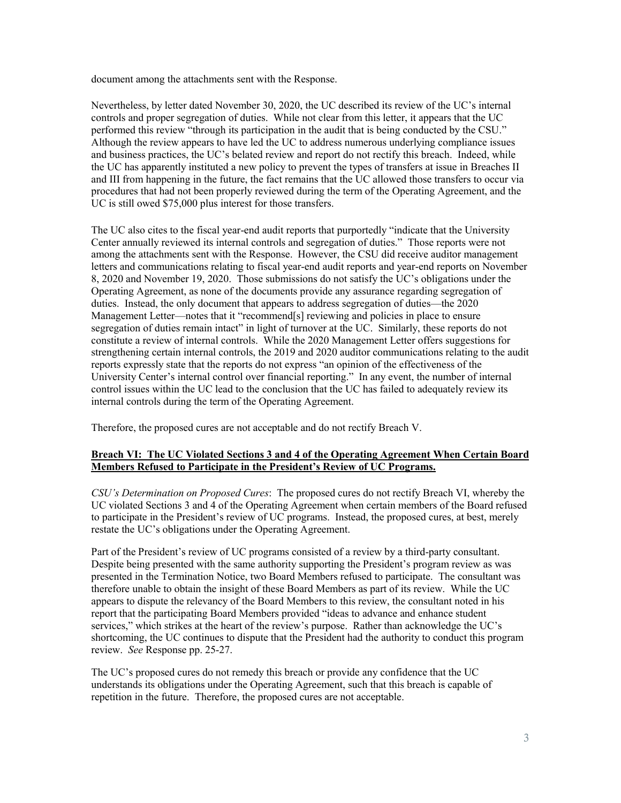document among the attachments sent with the Response.

Nevertheless, by letter dated November 30, 2020, the UC described its review of the UC's internal controls and proper segregation of duties. While not clear from this letter, it appears that the UC performed this review "through its participation in the audit that is being conducted by the CSU." Although the review appears to have led the UC to address numerous underlying compliance issues and business practices, the UC's belated review and report do not rectify this breach. Indeed, while the UC has apparently instituted a new policy to prevent the types of transfers at issue in Breaches II and III from happening in the future, the fact remains that the UC allowed those transfers to occur via procedures that had not been properly reviewed during the term of the Operating Agreement, and the UC is still owed \$75,000 plus interest for those transfers.

The UC also cites to the fiscal year-end audit reports that purportedly "indicate that the University Center annually reviewed its internal controls and segregation of duties." Those reports were not among the attachments sent with the Response. However, the CSU did receive auditor management letters and communications relating to fiscal year-end audit reports and year-end reports on November 8, 2020 and November 19, 2020. Those submissions do not satisfy the UC's obligations under the Operating Agreement, as none of the documents provide any assurance regarding segregation of duties. Instead, the only document that appears to address segregation of duties—the 2020 Management Letter—notes that it "recommend[s] reviewing and policies in place to ensure segregation of duties remain intact" in light of turnover at the UC. Similarly, these reports do not constitute a review of internal controls. While the 2020 Management Letter offers suggestions for strengthening certain internal controls, the 2019 and 2020 auditor communications relating to the audit reports expressly state that the reports do not express "an opinion of the effectiveness of the University Center's internal control over financial reporting." In any event, the number of internal control issues within the UC lead to the conclusion that the UC has failed to adequately review its internal controls during the term of the Operating Agreement.

Therefore, the proposed cures are not acceptable and do not rectify Breach V.

# **Breach VI: The UC Violated Sections 3 and 4 of the Operating Agreement When Certain Board Members Refused to Participate in the President's Review of UC Programs.**

*CSU's Determination on Proposed Cures*:The proposed cures do not rectify Breach VI, whereby the UC violated Sections 3 and 4 of the Operating Agreement when certain members of the Board refused to participate in the President's review of UC programs. Instead, the proposed cures, at best, merely restate the UC's obligations under the Operating Agreement.

Part of the President's review of UC programs consisted of a review by a third-party consultant. Despite being presented with the same authority supporting the President's program review as was presented in the Termination Notice, two Board Members refused to participate. The consultant was therefore unable to obtain the insight of these Board Members as part of its review. While the UC appears to dispute the relevancy of the Board Members to this review, the consultant noted in his report that the participating Board Members provided "ideas to advance and enhance student services," which strikes at the heart of the review's purpose. Rather than acknowledge the UC's shortcoming, the UC continues to dispute that the President had the authority to conduct this program review. *See* Response pp. 25-27.

The UC's proposed cures do not remedy this breach or provide any confidence that the UC understands its obligations under the Operating Agreement, such that this breach is capable of repetition in the future. Therefore, the proposed cures are not acceptable.